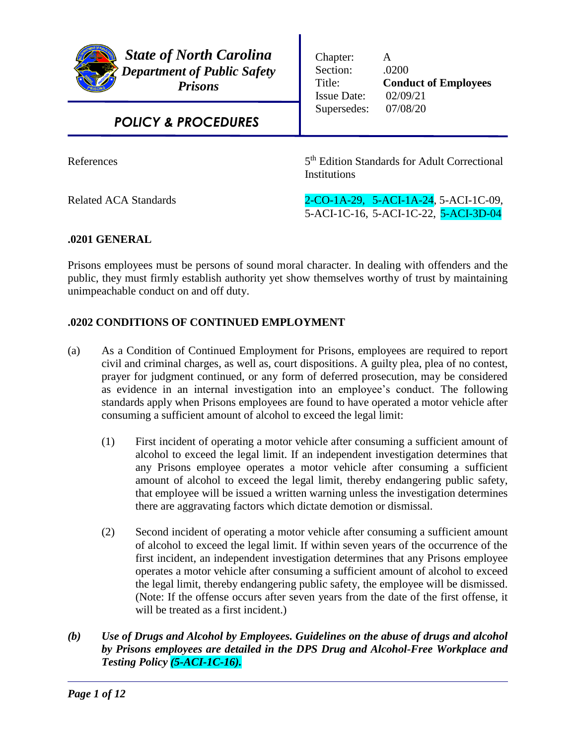

Chapter: A Section: .0200 Title: **Conduct of Employees** Issue Date: 02/09/21 Supersedes: 07/08/20

# *POLICY & PROCEDURES*

**References** 

5<sup>th</sup> Edition Standards for Adult Correctional **Institutions** 

Related ACA Standards 2-CO-1A-29, 5-ACI-1A-24, 5-ACI-1C-09, 5-ACI-1C-16, 5-ACI-1C-22, 5-ACI-3D-04

# **.0201 GENERAL**

Prisons employees must be persons of sound moral character. In dealing with offenders and the public, they must firmly establish authority yet show themselves worthy of trust by maintaining unimpeachable conduct on and off duty.

# **.0202 CONDITIONS OF CONTINUED EMPLOYMENT**

- (a) As a Condition of Continued Employment for Prisons, employees are required to report civil and criminal charges, as well as, court dispositions. A guilty plea, plea of no contest, prayer for judgment continued, or any form of deferred prosecution, may be considered as evidence in an internal investigation into an employee's conduct. The following standards apply when Prisons employees are found to have operated a motor vehicle after consuming a sufficient amount of alcohol to exceed the legal limit:
	- (1) First incident of operating a motor vehicle after consuming a sufficient amount of alcohol to exceed the legal limit. If an independent investigation determines that any Prisons employee operates a motor vehicle after consuming a sufficient amount of alcohol to exceed the legal limit, thereby endangering public safety, that employee will be issued a written warning unless the investigation determines there are aggravating factors which dictate demotion or dismissal.
	- (2) Second incident of operating a motor vehicle after consuming a sufficient amount of alcohol to exceed the legal limit. If within seven years of the occurrence of the first incident, an independent investigation determines that any Prisons employee operates a motor vehicle after consuming a sufficient amount of alcohol to exceed the legal limit, thereby endangering public safety, the employee will be dismissed. (Note: If the offense occurs after seven years from the date of the first offense, it will be treated as a first incident.)
- *(b) Use of Drugs and Alcohol by Employees. Guidelines on the abuse of drugs and alcohol by Prisons employees are detailed in the DPS Drug and Alcohol-Free Workplace and Testing Policy (5-ACI-1C-16).*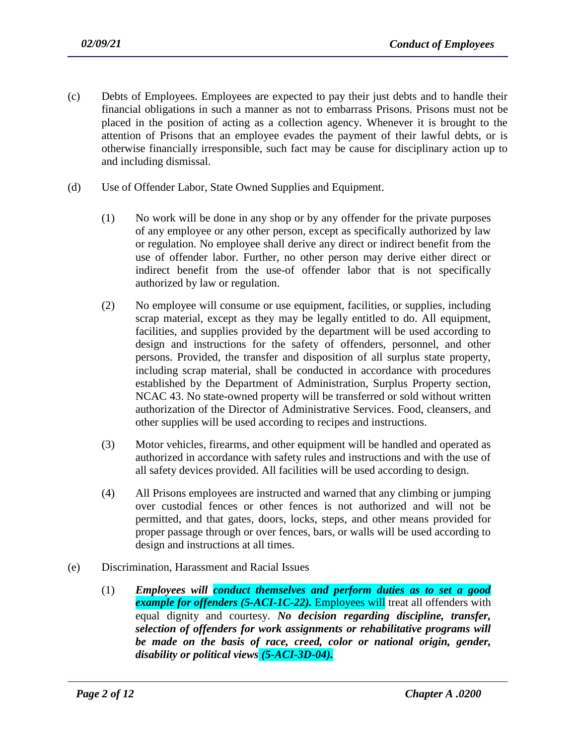- (c) Debts of Employees. Employees are expected to pay their just debts and to handle their financial obligations in such a manner as not to embarrass Prisons. Prisons must not be placed in the position of acting as a collection agency. Whenever it is brought to the attention of Prisons that an employee evades the payment of their lawful debts, or is otherwise financially irresponsible, such fact may be cause for disciplinary action up to and including dismissal.
- (d) Use of Offender Labor, State Owned Supplies and Equipment.
	- (1) No work will be done in any shop or by any offender for the private purposes of any employee or any other person, except as specifically authorized by law or regulation. No employee shall derive any direct or indirect benefit from the use of offender labor. Further, no other person may derive either direct or indirect benefit from the use-of offender labor that is not specifically authorized by law or regulation.
	- (2) No employee will consume or use equipment, facilities, or supplies, including scrap material, except as they may be legally entitled to do. All equipment, facilities, and supplies provided by the department will be used according to design and instructions for the safety of offenders, personnel, and other persons. Provided, the transfer and disposition of all surplus state property, including scrap material, shall be conducted in accordance with procedures established by the Department of Administration, Surplus Property section, NCAC 43. No state-owned property will be transferred or sold without written authorization of the Director of Administrative Services. Food, cleansers, and other supplies will be used according to recipes and instructions.
	- (3) Motor vehicles, firearms, and other equipment will be handled and operated as authorized in accordance with safety rules and instructions and with the use of all safety devices provided. All facilities will be used according to design.
	- (4) All Prisons employees are instructed and warned that any climbing or jumping over custodial fences or other fences is not authorized and will not be permitted, and that gates, doors, locks, steps, and other means provided for proper passage through or over fences, bars, or walls will be used according to design and instructions at all times.
- (e) Discrimination, Harassment and Racial Issues
	- (1) *Employees will conduct themselves and perform duties as to set a good example for offenders (5-ACI-1C-22).* Employees will treat all offenders with equal dignity and courtesy. *No decision regarding discipline, transfer, selection of offenders for work assignments or rehabilitative programs will be made on the basis of race, creed, color or national origin, gender, disability or political views (5-ACI-3D-04).*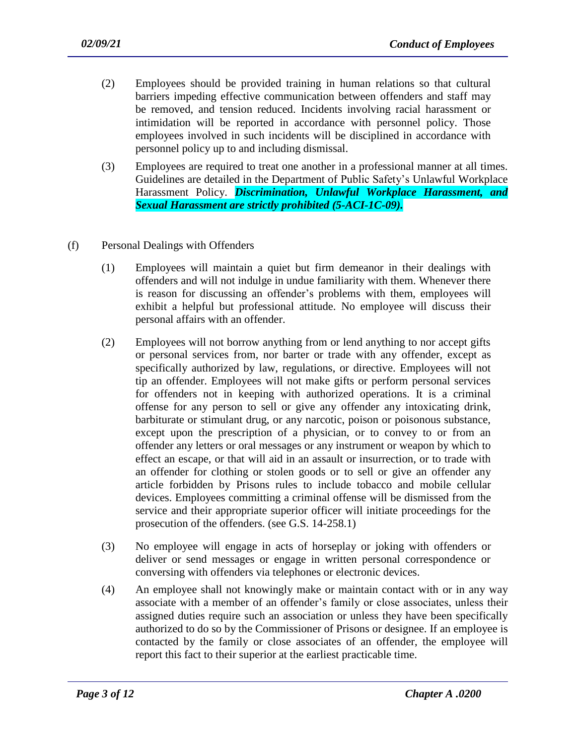- (2) Employees should be provided training in human relations so that cultural barriers impeding effective communication between offenders and staff may be removed, and tension reduced. Incidents involving racial harassment or intimidation will be reported in accordance with personnel policy. Those employees involved in such incidents will be disciplined in accordance with personnel policy up to and including dismissal.
- (3) Employees are required to treat one another in a professional manner at all times. Guidelines are detailed in the Department of Public Safety's Unlawful Workplace Harassment Policy. *Discrimination, Unlawful Workplace Harassment, and Sexual Harassment are strictly prohibited (5-ACI-1C-09).*
- (f) Personal Dealings with Offenders
	- (1) Employees will maintain a quiet but firm demeanor in their dealings with offenders and will not indulge in undue familiarity with them. Whenever there is reason for discussing an offender's problems with them, employees will exhibit a helpful but professional attitude. No employee will discuss their personal affairs with an offender.
	- (2) Employees will not borrow anything from or lend anything to nor accept gifts or personal services from, nor barter or trade with any offender, except as specifically authorized by law, regulations, or directive. Employees will not tip an offender. Employees will not make gifts or perform personal services for offenders not in keeping with authorized operations. It is a criminal offense for any person to sell or give any offender any intoxicating drink, barbiturate or stimulant drug, or any narcotic, poison or poisonous substance, except upon the prescription of a physician, or to convey to or from an offender any letters or oral messages or any instrument or weapon by which to effect an escape, or that will aid in an assault or insurrection, or to trade with an offender for clothing or stolen goods or to sell or give an offender any article forbidden by Prisons rules to include tobacco and mobile cellular devices. Employees committing a criminal offense will be dismissed from the service and their appropriate superior officer will initiate proceedings for the prosecution of the offenders. (see G.S. 14-258.1)
	- (3) No employee will engage in acts of horseplay or joking with offenders or deliver or send messages or engage in written personal correspondence or conversing with offenders via telephones or electronic devices.
	- (4) An employee shall not knowingly make or maintain contact with or in any way associate with a member of an offender's family or close associates, unless their assigned duties require such an association or unless they have been specifically authorized to do so by the Commissioner of Prisons or designee. If an employee is contacted by the family or close associates of an offender, the employee will report this fact to their superior at the earliest practicable time.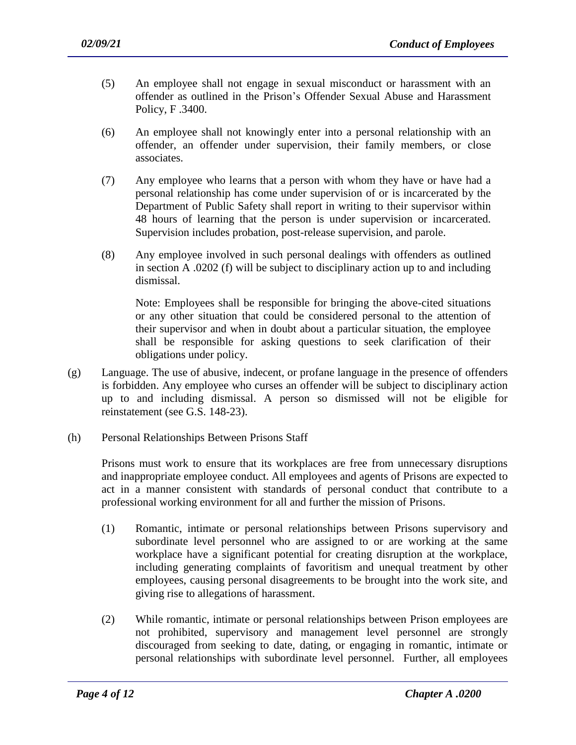- (5) An employee shall not engage in sexual misconduct or harassment with an offender as outlined in the Prison's Offender Sexual Abuse and Harassment Policy, F .3400.
- (6) An employee shall not knowingly enter into a personal relationship with an offender, an offender under supervision, their family members, or close associates.
- (7) Any employee who learns that a person with whom they have or have had a personal relationship has come under supervision of or is incarcerated by the Department of Public Safety shall report in writing to their supervisor within 48 hours of learning that the person is under supervision or incarcerated. Supervision includes probation, post-release supervision, and parole.
- (8) Any employee involved in such personal dealings with offenders as outlined in section A .0202 (f) will be subject to disciplinary action up to and including dismissal.

Note: Employees shall be responsible for bringing the above-cited situations or any other situation that could be considered personal to the attention of their supervisor and when in doubt about a particular situation, the employee shall be responsible for asking questions to seek clarification of their obligations under policy.

- (g) Language. The use of abusive, indecent, or profane language in the presence of offenders is forbidden. Any employee who curses an offender will be subject to disciplinary action up to and including dismissal. A person so dismissed will not be eligible for reinstatement (see G.S. 148-23).
- (h) Personal Relationships Between Prisons Staff

Prisons must work to ensure that its workplaces are free from unnecessary disruptions and inappropriate employee conduct. All employees and agents of Prisons are expected to act in a manner consistent with standards of personal conduct that contribute to a professional working environment for all and further the mission of Prisons.

- (1) Romantic, intimate or personal relationships between Prisons supervisory and subordinate level personnel who are assigned to or are working at the same workplace have a significant potential for creating disruption at the workplace, including generating complaints of favoritism and unequal treatment by other employees, causing personal disagreements to be brought into the work site, and giving rise to allegations of harassment.
- (2) While romantic, intimate or personal relationships between Prison employees are not prohibited, supervisory and management level personnel are strongly discouraged from seeking to date, dating, or engaging in romantic, intimate or personal relationships with subordinate level personnel. Further, all employees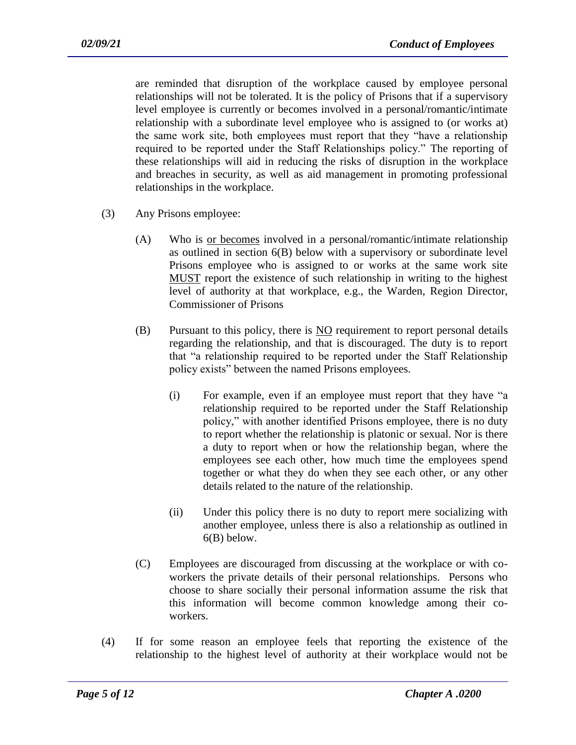are reminded that disruption of the workplace caused by employee personal relationships will not be tolerated. It is the policy of Prisons that if a supervisory level employee is currently or becomes involved in a personal/romantic/intimate relationship with a subordinate level employee who is assigned to (or works at) the same work site, both employees must report that they "have a relationship required to be reported under the Staff Relationships policy." The reporting of these relationships will aid in reducing the risks of disruption in the workplace and breaches in security, as well as aid management in promoting professional relationships in the workplace.

- (3) Any Prisons employee:
	- (A) Who is or becomes involved in a personal/romantic/intimate relationship as outlined in section 6(B) below with a supervisory or subordinate level Prisons employee who is assigned to or works at the same work site MUST report the existence of such relationship in writing to the highest level of authority at that workplace, e.g., the Warden, Region Director, Commissioner of Prisons
	- $(B)$  Pursuant to this policy, there is  $NO$  requirement to report personal details regarding the relationship, and that is discouraged. The duty is to report that "a relationship required to be reported under the Staff Relationship policy exists" between the named Prisons employees.
		- (i) For example, even if an employee must report that they have "a relationship required to be reported under the Staff Relationship policy," with another identified Prisons employee, there is no duty to report whether the relationship is platonic or sexual. Nor is there a duty to report when or how the relationship began, where the employees see each other, how much time the employees spend together or what they do when they see each other, or any other details related to the nature of the relationship.
		- (ii) Under this policy there is no duty to report mere socializing with another employee, unless there is also a relationship as outlined in 6(B) below.
	- (C) Employees are discouraged from discussing at the workplace or with coworkers the private details of their personal relationships. Persons who choose to share socially their personal information assume the risk that this information will become common knowledge among their coworkers.
- (4) If for some reason an employee feels that reporting the existence of the relationship to the highest level of authority at their workplace would not be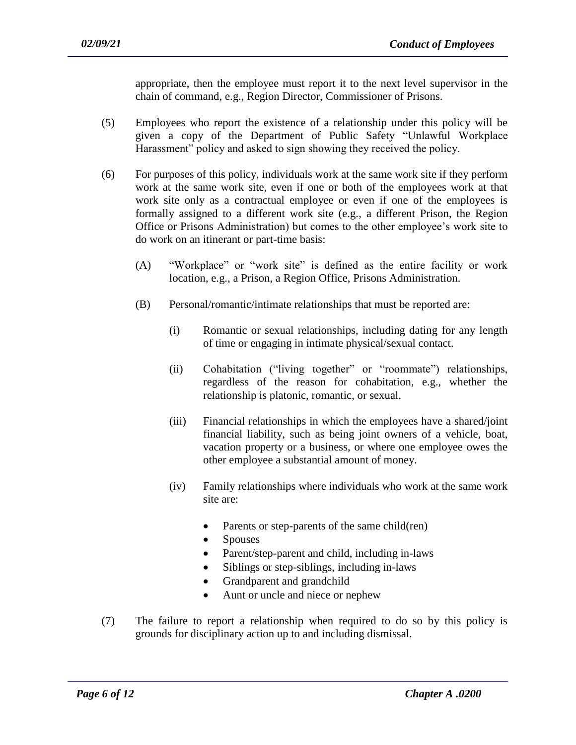appropriate, then the employee must report it to the next level supervisor in the chain of command, e.g., Region Director, Commissioner of Prisons.

- (5) Employees who report the existence of a relationship under this policy will be given a copy of the Department of Public Safety "Unlawful Workplace Harassment" policy and asked to sign showing they received the policy.
- (6) For purposes of this policy, individuals work at the same work site if they perform work at the same work site, even if one or both of the employees work at that work site only as a contractual employee or even if one of the employees is formally assigned to a different work site (e.g., a different Prison, the Region Office or Prisons Administration) but comes to the other employee's work site to do work on an itinerant or part-time basis:
	- (A) "Workplace" or "work site" is defined as the entire facility or work location, e.g., a Prison, a Region Office, Prisons Administration.
	- (B) Personal/romantic/intimate relationships that must be reported are:
		- (i) Romantic or sexual relationships, including dating for any length of time or engaging in intimate physical/sexual contact.
		- (ii) Cohabitation ("living together" or "roommate") relationships, regardless of the reason for cohabitation, e.g., whether the relationship is platonic, romantic, or sexual.
		- (iii) Financial relationships in which the employees have a shared/joint financial liability, such as being joint owners of a vehicle, boat, vacation property or a business, or where one employee owes the other employee a substantial amount of money.
		- (iv) Family relationships where individuals who work at the same work site are:
			- Parents or step-parents of the same child(ren)
			- Spouses
			- Parent/step-parent and child, including in-laws
			- Siblings or step-siblings, including in-laws
			- Grandparent and grandchild

- Aunt or uncle and niece or nephew
- (7) The failure to report a relationship when required to do so by this policy is grounds for disciplinary action up to and including dismissal.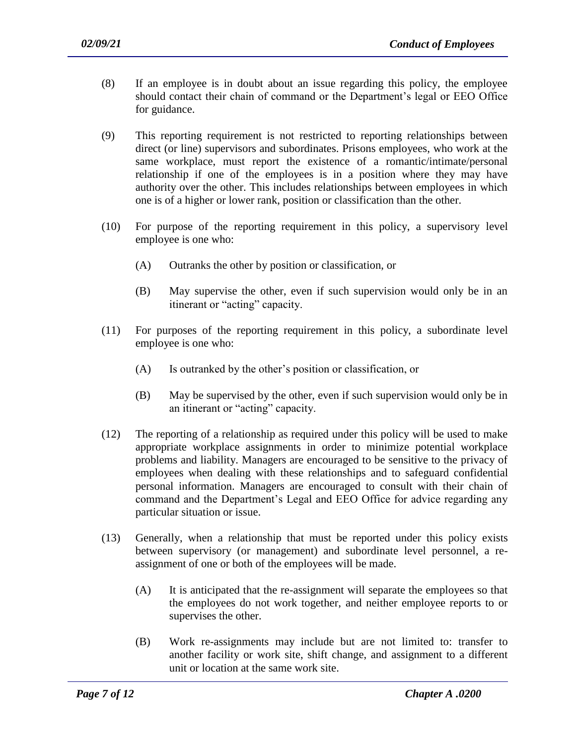- (8) If an employee is in doubt about an issue regarding this policy, the employee should contact their chain of command or the Department's legal or EEO Office for guidance.
- (9) This reporting requirement is not restricted to reporting relationships between direct (or line) supervisors and subordinates. Prisons employees, who work at the same workplace, must report the existence of a romantic/intimate/personal relationship if one of the employees is in a position where they may have authority over the other. This includes relationships between employees in which one is of a higher or lower rank, position or classification than the other.
- (10) For purpose of the reporting requirement in this policy, a supervisory level employee is one who:
	- (A) Outranks the other by position or classification, or
	- (B) May supervise the other, even if such supervision would only be in an itinerant or "acting" capacity.
- (11) For purposes of the reporting requirement in this policy, a subordinate level employee is one who:
	- (A) Is outranked by the other's position or classification, or
	- (B) May be supervised by the other, even if such supervision would only be in an itinerant or "acting" capacity.
- (12) The reporting of a relationship as required under this policy will be used to make appropriate workplace assignments in order to minimize potential workplace problems and liability. Managers are encouraged to be sensitive to the privacy of employees when dealing with these relationships and to safeguard confidential personal information. Managers are encouraged to consult with their chain of command and the Department's Legal and EEO Office for advice regarding any particular situation or issue.
- (13) Generally, when a relationship that must be reported under this policy exists between supervisory (or management) and subordinate level personnel, a reassignment of one or both of the employees will be made.
	- (A) It is anticipated that the re-assignment will separate the employees so that the employees do not work together, and neither employee reports to or supervises the other.
	- (B) Work re-assignments may include but are not limited to: transfer to another facility or work site, shift change, and assignment to a different unit or location at the same work site.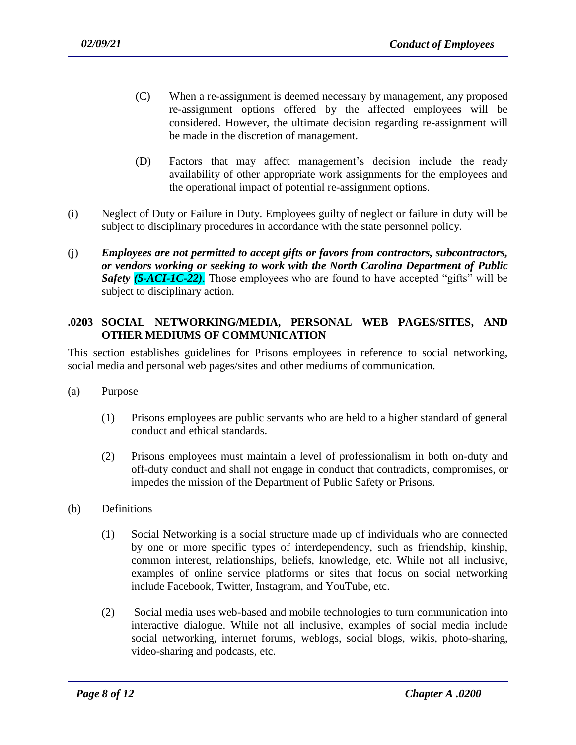- (C) When a re-assignment is deemed necessary by management, any proposed re-assignment options offered by the affected employees will be considered. However, the ultimate decision regarding re-assignment will be made in the discretion of management.
- (D) Factors that may affect management's decision include the ready availability of other appropriate work assignments for the employees and the operational impact of potential re-assignment options.
- (i) Neglect of Duty or Failure in Duty. Employees guilty of neglect or failure in duty will be subject to disciplinary procedures in accordance with the state personnel policy.
- (j) *Employees are not permitted to accept gifts or favors from contractors, subcontractors, or vendors working or seeking to work with the North Carolina Department of Public Safety (5-ACI-1C-22)*. Those employees who are found to have accepted "gifts" will be subject to disciplinary action.

### **.0203 SOCIAL NETWORKING/MEDIA, PERSONAL WEB PAGES/SITES, AND OTHER MEDIUMS OF COMMUNICATION**

This section establishes guidelines for Prisons employees in reference to social networking, social media and personal web pages/sites and other mediums of communication.

- (a) Purpose
	- (1) Prisons employees are public servants who are held to a higher standard of general conduct and ethical standards.
	- (2) Prisons employees must maintain a level of professionalism in both on-duty and off-duty conduct and shall not engage in conduct that contradicts, compromises, or impedes the mission of the Department of Public Safety or Prisons.
- (b) Definitions
	- (1) Social Networking is a social structure made up of individuals who are connected by one or more specific types of interdependency, such as friendship, kinship, common interest, relationships, beliefs, knowledge, etc. While not all inclusive, examples of online service platforms or sites that focus on social networking include Facebook, Twitter, Instagram, and YouTube, etc.
	- (2) Social media uses web-based and mobile technologies to turn [communication](http://en.wikipedia.org/wiki/Communication) into interactive dialogue. While not all inclusive, examples of social media include social networking, [internet](http://en.wikipedia.org/wiki/Internet_forum) forums, weblogs, [social blogs,](http://en.wikipedia.org/wiki/Social_blogging) wikis, photo-sharing, video-sharing and [podcasts,](http://en.wikipedia.org/wiki/Podcast) etc.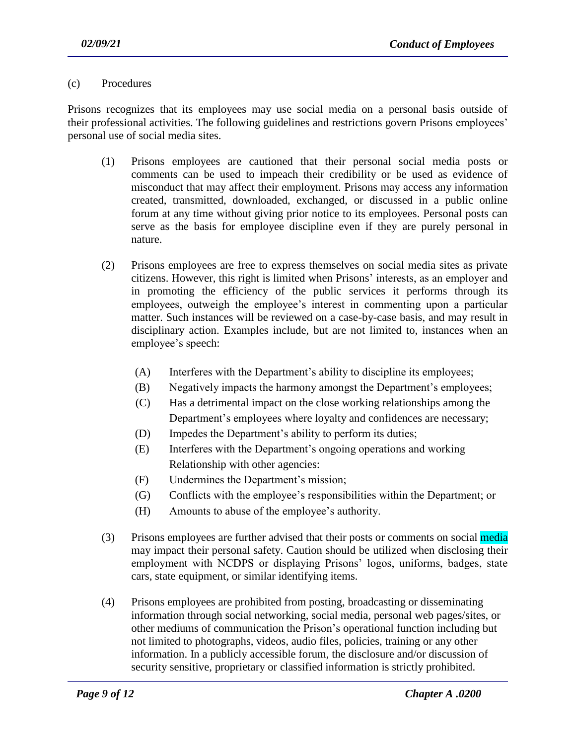#### (c) Procedures

Prisons recognizes that its employees may use social media on a personal basis outside of their professional activities. The following guidelines and restrictions govern Prisons employees' personal use of social media sites.

- (1) Prisons employees are cautioned that their personal social media posts or comments can be used to impeach their credibility or be used as evidence of misconduct that may affect their employment. Prisons may access any information created, transmitted, downloaded, exchanged, or discussed in a public online forum at any time without giving prior notice to its employees. Personal posts can serve as the basis for employee discipline even if they are purely personal in nature.
- (2) Prisons employees are free to express themselves on social media sites as private citizens. However, this right is limited when Prisons' interests, as an employer and in promoting the efficiency of the public services it performs through its employees, outweigh the employee's interest in commenting upon a particular matter. Such instances will be reviewed on a case-by-case basis, and may result in disciplinary action. Examples include, but are not limited to, instances when an employee's speech:
	- (A) Interferes with the Department's ability to discipline its employees;
	- (B) Negatively impacts the harmony amongst the Department's employees;
	- (C) Has a detrimental impact on the close working relationships among the Department's employees where loyalty and confidences are necessary;
	- (D) Impedes the Department's ability to perform its duties;
	- (E) Interferes with the Department's ongoing operations and working Relationship with other agencies:
	- (F) Undermines the Department's mission;
	- (G) Conflicts with the employee's responsibilities within the Department; or
	- (H) Amounts to abuse of the employee's authority.
- (3) Prisons employees are further advised that their posts or comments on social media may impact their personal safety. Caution should be utilized when disclosing their employment with NCDPS or displaying Prisons' logos, uniforms, badges, state cars, state equipment, or similar identifying items.
- (4) Prisons employees are prohibited from posting, broadcasting or disseminating information through social networking, social media, personal web pages/sites, or other mediums of communication the Prison's operational function including but not limited to photographs, videos, audio files, policies, training or any other information. In a publicly accessible forum, the disclosure and/or discussion of security sensitive, proprietary or classified information is strictly prohibited.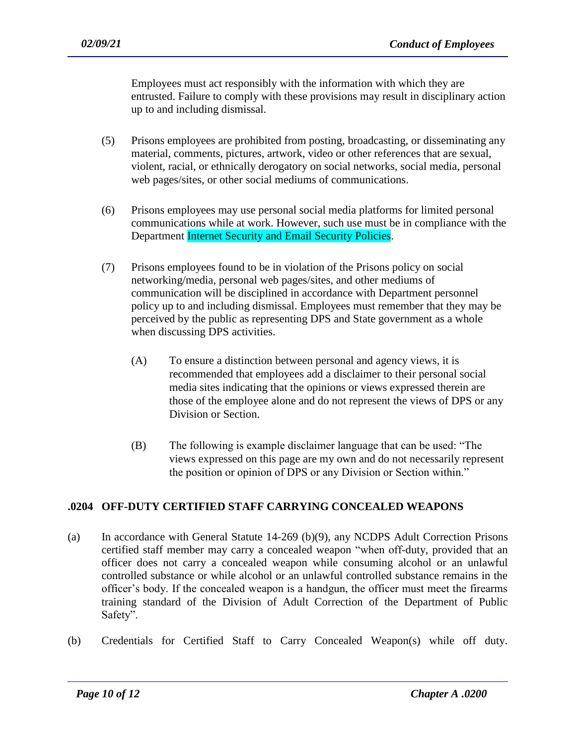Employees must act responsibly with the information with which they are entrusted. Failure to comply with these provisions may result in disciplinary action up to and including dismissal.

- (5) Prisons employees are prohibited from posting, broadcasting, or disseminating any material, comments, pictures, artwork, video or other references that are sexual, violent, racial, or ethnically derogatory on social networks, social media, personal web pages/sites, or other social mediums of communications.
- (6) Prisons employees may use personal social media platforms for limited personal communications while at work. However, such use must be in compliance with the Department Internet Security and Email Security Policies.
- (7) Prisons employees found to be in violation of the Prisons policy on social networking/media, personal web pages/sites, and other mediums of communication will be disciplined in accordance with Department personnel policy up to and including dismissal. Employees must remember that they may be perceived by the public as representing DPS and State government as a whole when discussing DPS activities.
	- (A) To ensure a distinction between personal and agency views, it is recommended that employees add a disclaimer to their personal social media sites indicating that the opinions or views expressed therein are those of the employee alone and do not represent the views of DPS or any Division or Section.
	- (B) The following is example disclaimer language that can be used: "The views expressed on this page are my own and do not necessarily represent the position or opinion of DPS or any Division or Section within."

# **.0204 OFF-DUTY CERTIFIED STAFF CARRYING CONCEALED WEAPONS**

- (a) In accordance with General Statute 14-269 (b)(9), any NCDPS Adult Correction Prisons certified staff member may carry a concealed weapon "when off-duty, provided that an officer does not carry a concealed weapon while consuming alcohol or an unlawful controlled substance or while alcohol or an unlawful controlled substance remains in the officer's body. If the concealed weapon is a handgun, the officer must meet the firearms training standard of the Division of Adult Correction of the Department of Public Safety".
- (b) Credentials for Certified Staff to Carry Concealed Weapon(s) while off duty.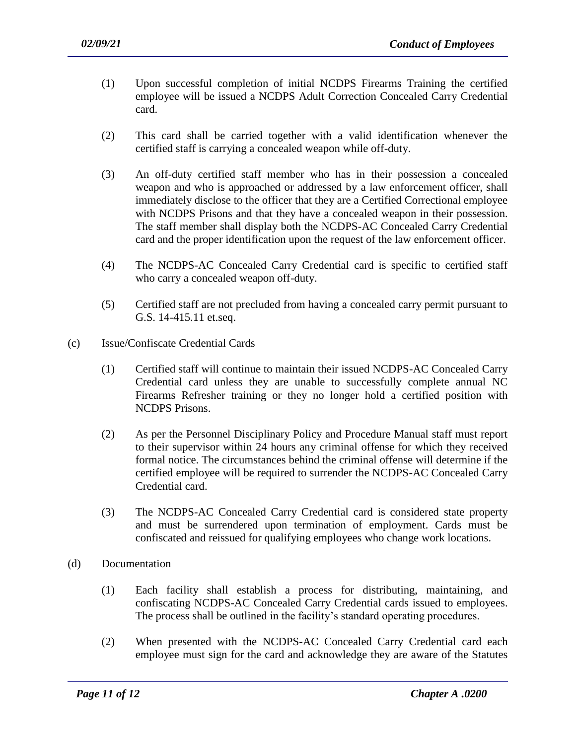- (1) Upon successful completion of initial NCDPS Firearms Training the certified employee will be issued a NCDPS Adult Correction Concealed Carry Credential card.
- (2) This card shall be carried together with a valid identification whenever the certified staff is carrying a concealed weapon while off-duty.
- (3) An off-duty certified staff member who has in their possession a concealed weapon and who is approached or addressed by a law enforcement officer, shall immediately disclose to the officer that they are a Certified Correctional employee with NCDPS Prisons and that they have a concealed weapon in their possession. The staff member shall display both the NCDPS-AC Concealed Carry Credential card and the proper identification upon the request of the law enforcement officer.
- (4) The NCDPS-AC Concealed Carry Credential card is specific to certified staff who carry a concealed weapon off-duty.
- (5) Certified staff are not precluded from having a concealed carry permit pursuant to G.S. 14-415.11 et.seq.
- (c) Issue/Confiscate Credential Cards
	- (1) Certified staff will continue to maintain their issued NCDPS-AC Concealed Carry Credential card unless they are unable to successfully complete annual NC Firearms Refresher training or they no longer hold a certified position with NCDPS Prisons.
	- (2) As per the Personnel Disciplinary Policy and Procedure Manual staff must report to their supervisor within 24 hours any criminal offense for which they received formal notice. The circumstances behind the criminal offense will determine if the certified employee will be required to surrender the NCDPS-AC Concealed Carry Credential card.
	- (3) The NCDPS-AC Concealed Carry Credential card is considered state property and must be surrendered upon termination of employment. Cards must be confiscated and reissued for qualifying employees who change work locations.
- (d) Documentation
	- (1) Each facility shall establish a process for distributing, maintaining, and confiscating NCDPS-AC Concealed Carry Credential cards issued to employees. The process shall be outlined in the facility's standard operating procedures.
	- (2) When presented with the NCDPS-AC Concealed Carry Credential card each employee must sign for the card and acknowledge they are aware of the Statutes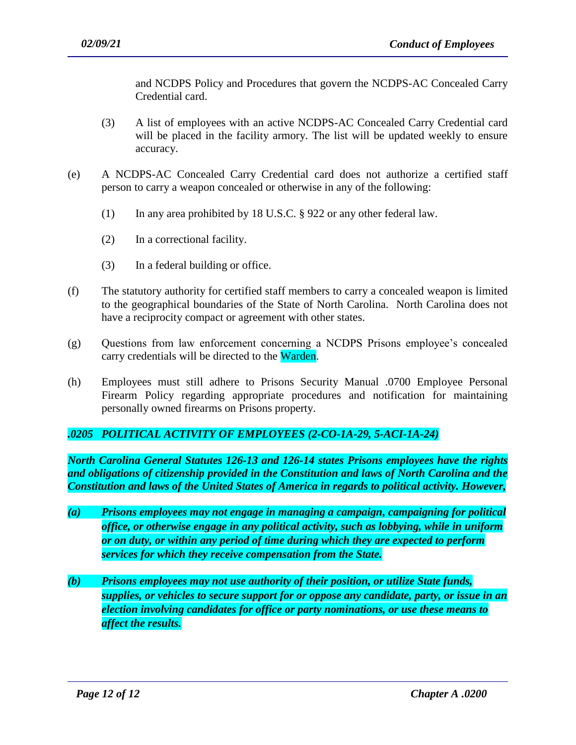and NCDPS Policy and Procedures that govern the NCDPS-AC Concealed Carry Credential card.

- (3) A list of employees with an active NCDPS-AC Concealed Carry Credential card will be placed in the facility armory. The list will be updated weekly to ensure accuracy.
- (e) A NCDPS-AC Concealed Carry Credential card does not authorize a certified staff person to carry a weapon concealed or otherwise in any of the following:
	- (1) In any area prohibited by 18 U.S.C. § 922 or any other federal law.
	- (2) In a correctional facility.
	- (3) In a federal building or office.
- (f) The statutory authority for certified staff members to carry a concealed weapon is limited to the geographical boundaries of the State of North Carolina. North Carolina does not have a reciprocity compact or agreement with other states.
- (g) Questions from law enforcement concerning a NCDPS Prisons employee's concealed carry credentials will be directed to the Warden.
- (h) Employees must still adhere to Prisons Security Manual .0700 Employee Personal Firearm Policy regarding appropriate procedures and notification for maintaining personally owned firearms on Prisons property.

# *.0205 POLITICAL ACTIVITY OF EMPLOYEES (2-CO-1A-29, 5-ACI-1A-24)*

*North Carolina General Statutes 126-13 and 126-14 states Prisons employees have the rights and obligations of citizenship provided in the Constitution and laws of North Carolina and the Constitution and laws of the United States of America in regards to political activity. However,*

- *(a) Prisons employees may not engage in managing a campaign, campaigning for political office, or otherwise engage in any political activity, such as lobbying, while in uniform or on duty, or within any period of time during which they are expected to perform services for which they receive compensation from the State.*
- *(b) Prisons employees may not use authority of their position, or utilize State funds, supplies, or vehicles to secure support for or oppose any candidate, party, or issue in an election involving candidates for office or party nominations, or use these means to affect the results.*